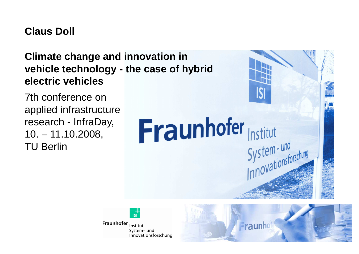## **Claus Doll**

## **Climate change and innovation in vehicle technology - the case of hybrid electric vehicles**

7th conference on applied infrastructure research - InfraDay, 10. – 11.10.2008, TU Berlin



Fraunhofer Institut System- und Innovationsforschung

Fraunhofer



Institut

System-und<br>System-und<br>Innovationsforschung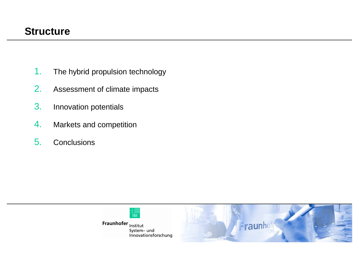### **Structure**

- 1.The hybrid propulsion technology
- 2.Assessment of climate impacts
- 3.Innovation potentials
- 4.Markets and competition
- 5.**Conclusions**



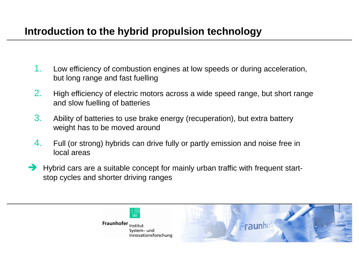# **Introduction to the hybrid propulsion technology**

- 1. Low efficiency of combustion engines at low speeds or during acceleration, but long range and fast fuelling
- 2. High efficiency of electric motors across a wide speed range, but short range and slow fuelling of batteries
- 3. Ability of batteries to use brake energy (recuperation), but extra battery weight has to be moved around
- 4. Full (or strong) hybrids can drive fully or partly emission and noise free in local areas
- Hybrid cars are a suitable concept for mainly urban traffic with frequent start-<br>stop cycles and shorter driving ranges stop cycles and shorter driving ranges



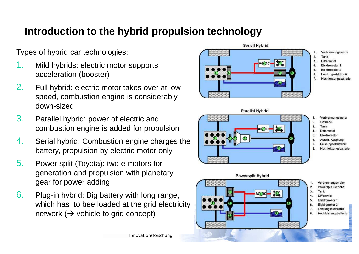# **Introduction to the hybrid propulsion technology**

Types of hybrid car technologies:

- 1. Mild hybrids: electric motor supports acceleration (booster)
- 2. Full hybrid: electric motor takes over at low speed, combustion engine is considerably down-sized
- 3. Parallel hybrid: power of electric and combustion engine is added for propulsion
- 4. Serial hybrid: Combustion engine charges the battery, propulsion by electric motor only
- 5. Power split (Toyota): two e-motors for generation and propulsion with planetary gear for power adding
- 6. Plug-in hybrid: Big battery with long range, which has to bee loaded at the grid electricity network ( $\rightarrow$  vehicle to grid concept)





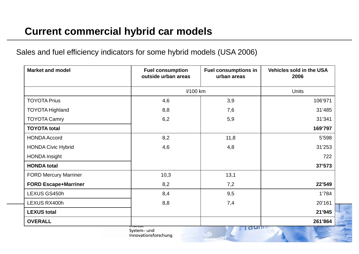# **Current commercial hybrid car models**

### Sales and fuel efficiency indicators for some hybrid models (USA 2006)

| <b>Market and model</b>      | <b>Fuel consumption</b><br>outside urban areas | <b>Fuel consumptions in</b><br>urban areas | <b>Vehicles sold in the USA</b><br>2006 |
|------------------------------|------------------------------------------------|--------------------------------------------|-----------------------------------------|
|                              | I/100 km                                       |                                            | <b>Units</b>                            |
| <b>TOYOTA Prius</b>          | 4,6                                            | 3,9                                        | 106'971                                 |
| <b>TOYOTA Highland</b>       | 8,8                                            | 7,6                                        | 31'485                                  |
| <b>TOYOTA Camry</b>          | 6,2                                            | 5,9                                        | 31'341                                  |
| <b>TOYOTA total</b>          |                                                |                                            | 169'797                                 |
| <b>HONDA Accord</b>          | 8,2                                            | 11,8                                       | 5'598                                   |
| <b>HONDA Civic Hybrid</b>    | 4,6                                            | 4,8                                        | 31'253                                  |
| <b>HONDA Insight</b>         |                                                |                                            | 722                                     |
| <b>HONDA total</b>           |                                                |                                            | 37'573                                  |
| <b>FORD Mercury Marriner</b> | 10,3                                           | 13,1                                       |                                         |
| <b>FORD Escape+Marriner</b>  | 8,2                                            | 7,2                                        | 22'549                                  |
| LEXUS GS450h                 | 8,4                                            | 9,5                                        | 1'784                                   |
| LEXUS RX400h                 | 8,8                                            | 7,4                                        | 20'161                                  |
| <b>LEXUS total</b>           |                                                |                                            | 21'945                                  |
| <b>OVERALL</b>               |                                                |                                            | 261'864                                 |
|                              | System- und                                    | $\sigma$ um                                |                                         |

Innovationsforschung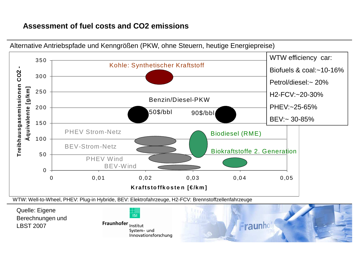### **Assessment of fuel costs and CO2 emissions**



Alternative Antriebspfade und Kenngrößen (PKW, ohne Steuern, heutige Energiepreise)

Quelle: Eigene Berechnungen und LBST 2007



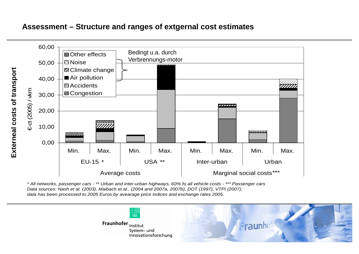#### **Assessment – Structure and ranges of extgernal cost estimates**



\* All networks, passenger cars - \*\* Urban and inter-urban highways, 60% fo all vehicle costs - \*\*\* Passenger carsData sources: Nash et al. (2003), Maibach et al., (2004 and 2007a, 2007b), DOT (1997), VTPI (2007); data has been processed to 2005 Euros by avearage price indices and exchange rates 2005.



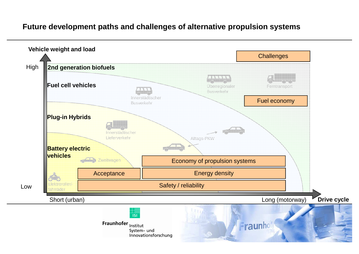### **Future development paths and challenges of alternative propulsion systems**

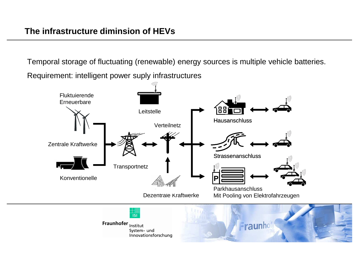Temporal storage of fluctuating (renewable) energy sources is multiple vehicle batteries. Requirement: intelligent power suply infrastructures

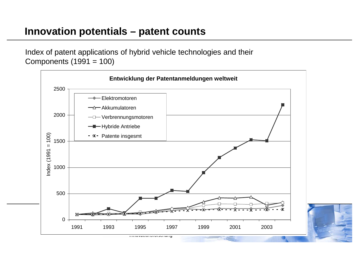Index of patent applications of hybrid vehicle technologies and their Components (1991 = 100)

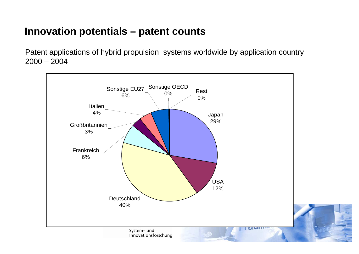Patent applications of hybrid propulsion systems worldwide by application country  $2000 - 2004$ 

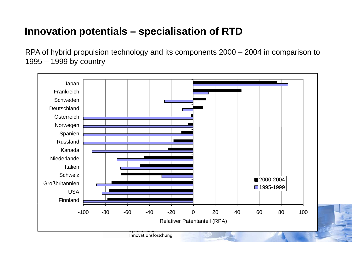# **Innovation potentials – specialisation of RTD**

RPA of hybrid propulsion technology and its components 2000 – 2004 in comparison to 1995 – 1999 by country

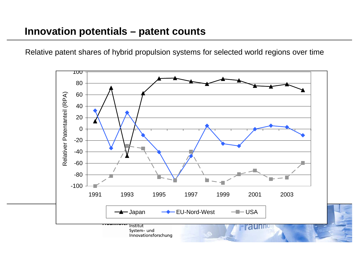Relative patent shares of hybrid propulsion systems for selected world regions over time

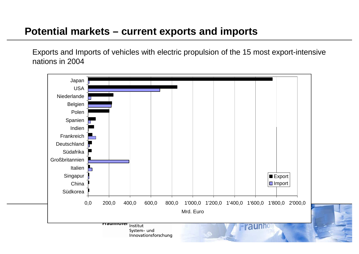### **Potential markets – current exports and imports**

Exports and Imports of vehicles with electric propulsion of the 15 most export-intensive nations in 2004

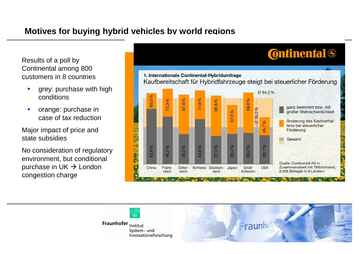### **Motives for buying hybrid vehicles by world regions**

Results of a poll by Continental among 800 customers in 8 countries

- grey: purchase with high conditions
- $\mathcal{C}$  orange: purchase in case of tax reduction

Major impact of price and state subsidies

No consideration of regulatory environment, but conditional purchase in UK → London<br>congestion charge congestion charge





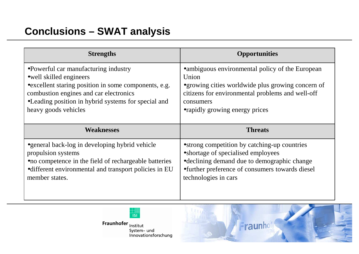# **Conclusions – SWAT analysis**

| <b>Strengths</b>                                                                                                                                                                                                                                   | <b>Opportunities</b>                                                                                                                                                                                                |  |  |
|----------------------------------------------------------------------------------------------------------------------------------------------------------------------------------------------------------------------------------------------------|---------------------------------------------------------------------------------------------------------------------------------------------------------------------------------------------------------------------|--|--|
| •Powerful car manufacturing industry<br>• well skilled engineers<br>• excellent staring position in some components, e.g.<br>combustion engines and car electronics<br>•Leading position in hybrid systems for special and<br>heavy goods vehicles | • ambiguous environmental policy of the European<br>Union<br>• growing cities worldwide plus growing concern of<br>citizens for environmental problems and well-off<br>consumers<br>• rapidly growing energy prices |  |  |
| <b>Weaknesses</b>                                                                                                                                                                                                                                  | <b>Threats</b>                                                                                                                                                                                                      |  |  |
| • general back-log in developing hybrid vehicle<br>propulsion systems<br>• no competence in the field of rechargeable batteries<br>• different environmental and transport policies in EU                                                          | • strong competition by catching-up countries<br>• shortage of specialised employees<br>• declining demand due to demographic change<br>•further preference of consumers towards diesel<br>technologies in cars     |  |  |



Fraunhofer <sub>Institut</sub> System- und<br>Innovationsforschung

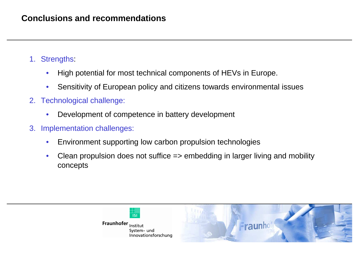### **Conclusions and recommendations**

- 1. Strengths:
	- •High potential for most technical components of HEVs in Europe.
	- •Sensitivity of European policy and citizens towards environmental issues
- 2. Technological challenge:
	- •Development of competence in battery development
- 3. Implementation challenges:
	- •Environment supporting low carbon propulsion technologies
	- • Clean propulsion does not suffice => embedding in larger living and mobility concepts